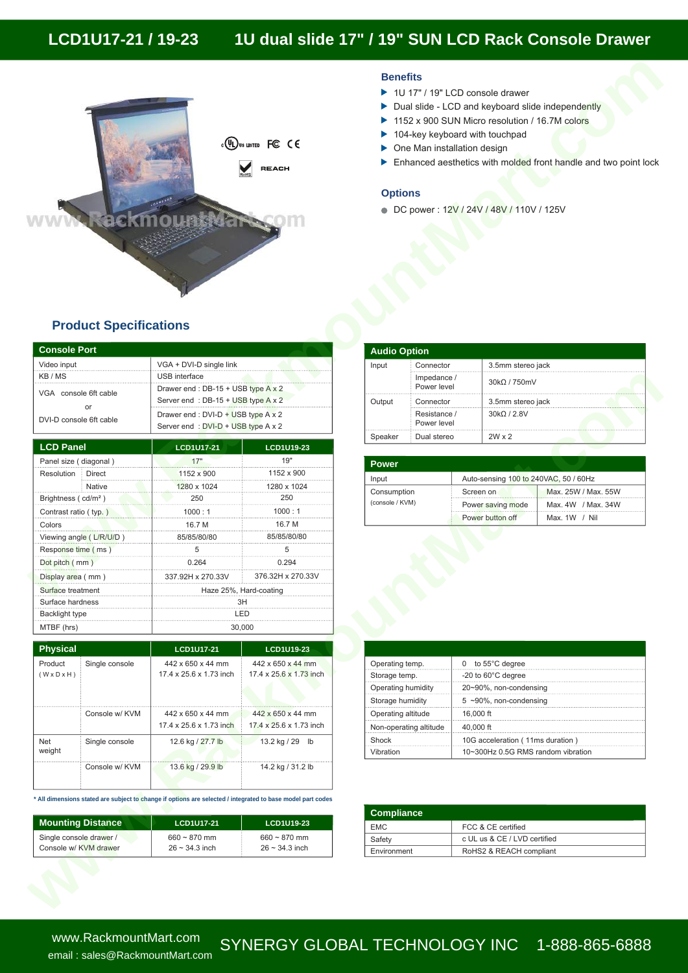# **LCD1U17-21 / 19-23 1U dual slide 17" / 19" SUN LCD Rack Console Drawer**



#### **Benefits**

- ▶ 1U 17" / 19" LCD console drawer
- Dual slide LCD and keyboard slide independently
- 1152 x 900 SUN Micro resolution / 16.7M colors
- 104-key keyboard with touchpad
- One Man installation design
- Enhanced aesthetics with molded front handle and two point lock

#### **Options**

DC power : 12V / 24V / 48V / 110V / 125V

## **Product Specifications**

| <b>Console Port</b>     |                                     |
|-------------------------|-------------------------------------|
| Video input             | VGA + DVI-D single link             |
| KB/MS                   | <b>USB</b> interface                |
| VGA console 6ft cable   | Drawer end: DB-15 + USB type A x 2  |
| or                      | Server end: DB-15 + USB type A x 2  |
| DVI-D console 6ft cable | Drawer end : DVI-D + USB type A x 2 |
|                         | Server end: DVI-D + USB type A x 2  |

|                                                        |                          | USB interface                                                            |                                                                                                             |                                | Impedance /            |                                                    |                     |
|--------------------------------------------------------|--------------------------|--------------------------------------------------------------------------|-------------------------------------------------------------------------------------------------------------|--------------------------------|------------------------|----------------------------------------------------|---------------------|
| VGA console 6ft cable<br>or<br>DVI-D console 6ft cable |                          | Drawer end: DB-15 + USB type A x 2<br>Server end: DB-15 + USB type A x 2 |                                                                                                             |                                | Power level            | 30kΩ / 750mV                                       |                     |
|                                                        |                          |                                                                          |                                                                                                             | Output                         | Connector              | 3.5mm stereo jack                                  |                     |
|                                                        |                          | Drawer end : DVI-D + USB type A x 2                                      |                                                                                                             |                                | Resistance /           | $30k\Omega/2.8V$                                   |                     |
|                                                        |                          | Server end: DVI-D + USB type A x 2                                       |                                                                                                             |                                | Power level            |                                                    |                     |
| <b>LCD Panel</b>                                       |                          | <b>LCD1U17-21</b>                                                        | LCD1U19-23                                                                                                  | Speaker                        | Dual stereo            | $2W \times 2$                                      |                     |
| Panel size (diagonal)                                  |                          | 17"                                                                      | 19"                                                                                                         |                                |                        |                                                    |                     |
| Resolution                                             | <b>Direct</b>            | 1152 x 900                                                               | 1152 x 900                                                                                                  | Power                          |                        |                                                    |                     |
|                                                        | Native                   | 1280 x 1024                                                              | 1280 x 1024                                                                                                 | Input                          |                        | Auto-sensing 100 to 240VAC, 50 / 60Hz              |                     |
| Brightness (cd/m <sup>2</sup> )                        |                          | 250                                                                      | 250                                                                                                         | Consumption<br>(console / KVM) |                        | Screen on                                          | Max. 25W / Max. 55W |
| Contrast ratio (typ.)                                  |                          | 1000:1                                                                   | 1000:1                                                                                                      |                                |                        | Power saving mode                                  | Max. 4W / Max. 34W  |
| Colors                                                 |                          | 16.7 M                                                                   | 16.7 M                                                                                                      |                                |                        | Power button off                                   | Max. 1W / Nil       |
|                                                        | Viewing angle (L/R/U/D)  | 85/85/80/80                                                              | 85/85/80/80                                                                                                 |                                |                        |                                                    |                     |
| Response time (ms)                                     |                          | 5                                                                        | 5                                                                                                           |                                |                        |                                                    |                     |
| Dot pitch (mm)                                         |                          | 0.264                                                                    | 0.294                                                                                                       |                                |                        |                                                    |                     |
| Display area (mm)                                      |                          | 337.92H x 270.33V                                                        | 376.32H x 270.33V                                                                                           |                                |                        |                                                    |                     |
| Surface treatment                                      |                          | Haze 25%, Hard-coating<br>3H                                             |                                                                                                             |                                |                        |                                                    |                     |
| Surface hardness                                       |                          |                                                                          |                                                                                                             |                                |                        |                                                    |                     |
| <b>Backlight type</b>                                  |                          | LED                                                                      |                                                                                                             |                                |                        |                                                    |                     |
|                                                        |                          | 30,000                                                                   |                                                                                                             |                                |                        |                                                    |                     |
| MTBF (hrs)                                             |                          |                                                                          |                                                                                                             |                                |                        |                                                    |                     |
|                                                        |                          |                                                                          |                                                                                                             |                                |                        |                                                    |                     |
| Physical                                               |                          | LCD1U17-21                                                               | LCD1U19-23                                                                                                  |                                |                        |                                                    |                     |
| Product                                                | Single console           | 442 x 650 x 44 mm                                                        | 442 x 650 x 44 mm                                                                                           | Operating temp.                |                        | 0 to 55°C degree                                   |                     |
| $(W \times D \times H)$                                |                          | 17.4 x 25.6 x 1.73 inch                                                  | 17.4 x 25.6 x 1.73 inch                                                                                     | Storage temp.                  |                        | -20 to 60°C degree                                 |                     |
|                                                        |                          |                                                                          |                                                                                                             | Operating humidity             |                        | 20~90%, non-condensing                             |                     |
|                                                        |                          |                                                                          |                                                                                                             | Storage humidity               |                        | $5 \sim 90\%$ , non-condensing                     |                     |
|                                                        | Console w/ KVM           | 442 x 650 x 44 mm                                                        | 442 x 650 x 44 mm                                                                                           | Operating altitude             |                        | 16,000 ft                                          |                     |
|                                                        |                          | 17.4 x 25.6 x 1.73 inch                                                  | 17.4 x 25.6 x 1.73 inch                                                                                     |                                | Non-operating altitude | 40,000 ft                                          |                     |
| Net                                                    | Single console           | 12.6 kg / 27.7 lb                                                        | 13.2 kg / 29 lb                                                                                             | Shock                          |                        | 10G acceleration (11ms duration)                   |                     |
| weight                                                 |                          |                                                                          |                                                                                                             | Vibration                      |                        | 10~300Hz 0.5G RMS random vibration                 |                     |
|                                                        | Console w/ KVM           | 13.6 kg / 29.9 lb                                                        | 14.2 kg / 31.2 lb                                                                                           |                                |                        |                                                    |                     |
|                                                        |                          |                                                                          |                                                                                                             |                                |                        |                                                    |                     |
|                                                        |                          |                                                                          |                                                                                                             |                                |                        |                                                    |                     |
|                                                        |                          |                                                                          | * All dimensions stated are subject to change if options are selected / integrated to base model part codes |                                |                        |                                                    |                     |
|                                                        |                          | LCD1U17-21                                                               | LCD1U19-23                                                                                                  | <b>Compliance</b>              |                        |                                                    |                     |
| Single console drawer /                                | <b>Mounting Distance</b> | $660 - 870$ mm                                                           | $660 - 870$ mm                                                                                              | <b>EMC</b><br>Safety           |                        | FCC & CE certified<br>c UL us & CE / LVD certified |                     |

| <b>Physical</b><br>Product<br>Single console<br>$(W \times D \times H)$<br>Console w/ KVM<br>Net<br>Single console<br>weight |                | <b>LCD1U17-21</b>                            | LCD1U19-23                                   |  |
|------------------------------------------------------------------------------------------------------------------------------|----------------|----------------------------------------------|----------------------------------------------|--|
|                                                                                                                              |                | 442 x 650 x 44 mm<br>17.4 x 25.6 x 1.73 inch | 442 x 650 x 44 mm<br>17.4 x 25.6 x 1.73 inch |  |
|                                                                                                                              |                | 442 x 650 x 44 mm<br>17.4 x 25.6 x 1.73 inch | 442 x 650 x 44 mm<br>17.4 x 25.6 x 1.73 inch |  |
|                                                                                                                              |                | 12.6 kg / 27.7 lb                            | 13.2 kg / 29<br>lb                           |  |
|                                                                                                                              | Console w/ KVM | 13.6 kg / 29.9 lb                            | 14.2 kg / 31.2 lb                            |  |

| <b>Mounting Distance</b> | LCD1U17-21          | <b>LCD1U19-23</b>   |
|--------------------------|---------------------|---------------------|
| Single console drawer /  | $660 \sim 870$ mm   | $660 \sim 870$ mm   |
| Console w/ KVM drawer    | $26 \sim 34.3$ inch | $26 \sim 34.3$ inch |

| <b>Audio Option</b> |                             |                   |
|---------------------|-----------------------------|-------------------|
| Input               | Connector                   | 3.5mm stereo jack |
|                     | Impedance /<br>Power level  | 30kQ / 750mV      |
| Output              | Connector                   | 3.5mm stereo jack |
|                     | Resistance /<br>Power level | 30kQ / 2.8V       |
| Speaker             | Dual stereo                 | $2W \times 2$     |

| <b>Power</b>    |                                       |                     |
|-----------------|---------------------------------------|---------------------|
| Input           | Auto-sensing 100 to 240VAC, 50 / 60Hz |                     |
| Consumption     | Screen on                             | Max. 25W / Max. 55W |
| (console / KVM) | Power saving mode                     | Max. 4W / Max. 34W  |
|                 | Power button off                      | Max. $1W / Nil$     |

| Operating temp.        | 0 to $55^{\circ}$ C degree         |
|------------------------|------------------------------------|
| Storage temp.          | $-20$ to 60 $^{\circ}$ C degree    |
| Operating humidity     | 20~90%, non-condensing             |
| Storage humidity       | $5$ ~90%, non-condensing           |
| Operating altitude     | 16,000 ft                          |
| Non-operating altitude | 40,000 ft                          |
| Shock                  | 10G acceleration (11ms duration)   |
| Vibration              | 10~300Hz 0.5G RMS random vibration |

| <b>Compliance</b> |                              |
|-------------------|------------------------------|
| <b>EMC</b>        | FCC & CE certified           |
| Safety            | c UL us & CE / LVD certified |
| Environment       | RoHS2 & REACH compliant      |

www.RackmountMart.com email : sales@RackmountMart.com